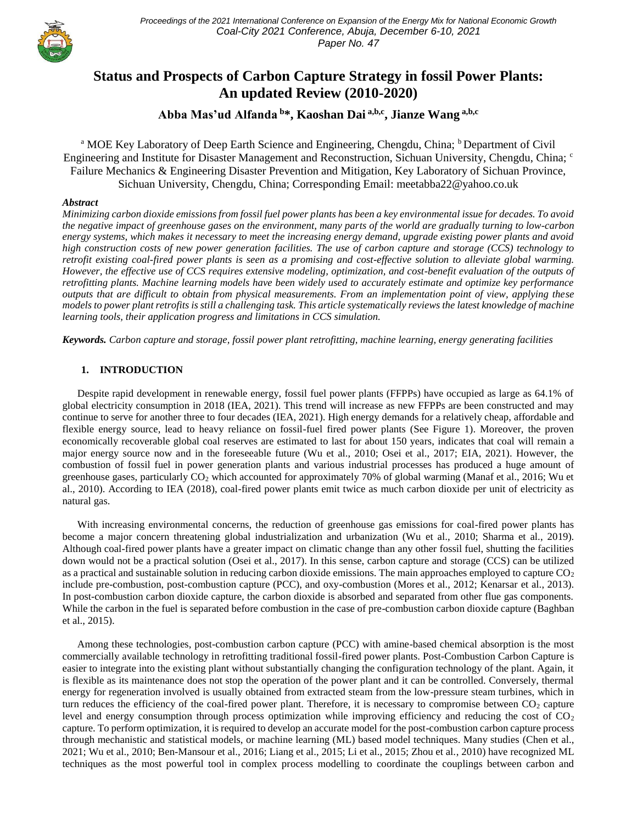

# **Status and Prospects of Carbon Capture Strategy in fossil Power Plants: An updated Review (2010-2020)**

**Abba Mas'ud Alfanda <sup>b</sup>\*, Kaoshan Dai a,b,c, Jianze Wang a,b,c**

<sup>a</sup> MOE Key Laboratory of Deep Earth Science and Engineering, Chengdu, China; <sup>b</sup> Department of Civil Engineering and Institute for Disaster Management and Reconstruction, Sichuan University, Chengdu, China; <sup>c</sup> Failure Mechanics & Engineering Disaster Prevention and Mitigation, Key Laboratory of Sichuan Province, Sichuan University, Chengdu, China; Corresponding Email: meetabba22@yahoo.co.uk

## *Abstract*

*Minimizing carbon dioxide emissions from fossil fuel power plants has been a key environmental issue for decades. To avoid the negative impact of greenhouse gases on the environment, many parts of the world are gradually turning to low-carbon energy systems, which makes it necessary to meet the increasing energy demand, upgrade existing power plants and avoid high construction costs of new power generation facilities. The use of carbon capture and storage (CCS) technology to retrofit existing coal-fired power plants is seen as a promising and cost-effective solution to alleviate global warming. However, the effective use of CCS requires extensive modeling, optimization, and cost-benefit evaluation of the outputs of retrofitting plants. Machine learning models have been widely used to accurately estimate and optimize key performance outputs that are difficult to obtain from physical measurements. From an implementation point of view, applying these models to power plant retrofits is still a challenging task. This article systematically reviews the latest knowledge of machine learning tools, their application progress and limitations in CCS simulation.*

*Keywords. Carbon capture and storage, fossil power plant retrofitting, machine learning, energy generating facilities*

# **1. INTRODUCTION**

Despite rapid development in renewable energy, fossil fuel power plants (FFPPs) have occupied as large as 64.1% of global electricity consumption in 2018 (IEA, 2021). This trend will increase as new FFPPs are been constructed and may continue to serve for another three to four decades (IEA, 2021). High energy demands for a relatively cheap, affordable and flexible energy source, lead to heavy reliance on fossil-fuel fired power plants (See Figure 1). Moreover, the proven economically recoverable global coal reserves are estimated to last for about 150 years, indicates that coal will remain a major energy source now and in the foreseeable future (Wu et al., 2010; Osei et al., 2017; EIA, 2021). However, the combustion of fossil fuel in power generation plants and various industrial processes has produced a huge amount of greenhouse gases, particularly  $CO<sub>2</sub>$  which accounted for approximately 70% of global warming (Manaf et al., 2016; Wu et al., 2010). According to IEA (2018), coal-fired power plants emit twice as much carbon dioxide per unit of electricity as natural gas.

With increasing environmental concerns, the reduction of greenhouse gas emissions for coal-fired power plants has become a major concern threatening global industrialization and urbanization (Wu et al., 2010; Sharma et al., 2019). Although coal-fired power plants have a greater impact on climatic change than any other fossil fuel, shutting the facilities down would not be a practical solution (Osei et al., 2017). In this sense, carbon capture and storage (CCS) can be utilized as a practical and sustainable solution in reducing carbon dioxide emissions. The main approaches employed to capture  $CO<sub>2</sub>$ include pre-combustion, post-combustion capture (PCC), and oxy-combustion (Mores et al., 2012; Kenarsar et al., 2013). In post-combustion carbon dioxide capture, the carbon dioxide is absorbed and separated from other flue gas components. While the carbon in the fuel is separated before combustion in the case of pre-combustion carbon dioxide capture (Baghban et al., 2015).

Among these technologies, post-combustion carbon capture (PCC) with amine-based chemical absorption is the most commercially available technology in retrofitting traditional fossil-fired power plants. Post-Combustion Carbon Capture is easier to integrate into the existing plant without substantially changing the configuration technology of the plant. Again, it is flexible as its maintenance does not stop the operation of the power plant and it can be controlled. Conversely, thermal energy for regeneration involved is usually obtained from extracted steam from the low-pressure steam turbines, which in turn reduces the efficiency of the coal-fired power plant. Therefore, it is necessary to compromise between  $CO<sub>2</sub>$  capture level and energy consumption through process optimization while improving efficiency and reducing the cost of  $CO<sub>2</sub>$ capture. To perform optimization, it is required to develop an accurate model for the post-combustion carbon capture process through mechanistic and statistical models, or machine learning (ML) based model techniques. Many studies (Chen et al., 2021; Wu et al., 2010; Ben-Mansour et al., 2016; Liang et al., 2015; Li et al., 2015; Zhou et al., 2010) have recognized ML techniques as the most powerful tool in complex process modelling to coordinate the couplings between carbon and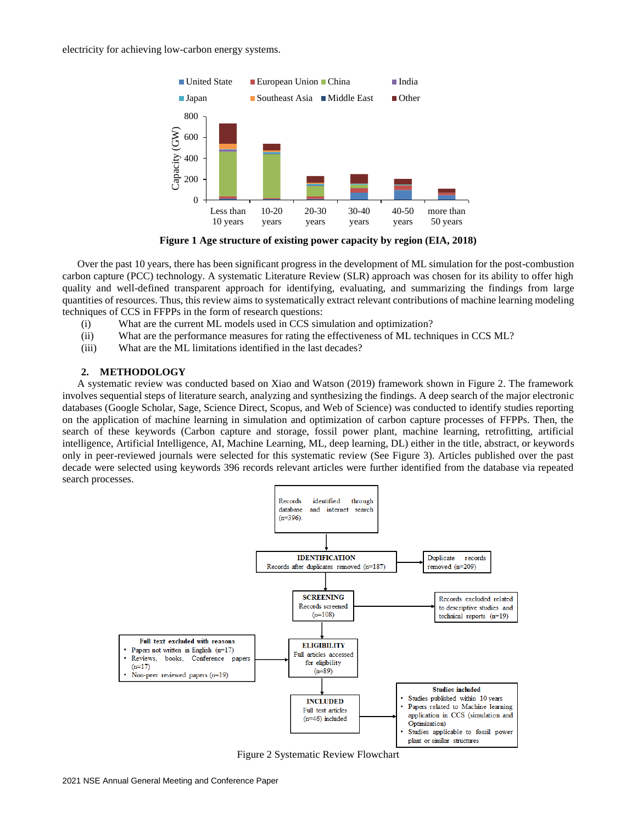electricity for achieving low-carbon energy systems.



**Figure 1 Age structure of existing power capacity by region (EIA, 2018)**

Over the past 10 years, there has been significant progress in the development of ML simulation for the post-combustion carbon capture (PCC) technology. A systematic Literature Review (SLR) approach was chosen for its ability to offer high quality and well-defined transparent approach for identifying, evaluating, and summarizing the findings from large quantities of resources. Thus, this review aims to systematically extract relevant contributions of machine learning modeling techniques of CCS in FFPPs in the form of research questions:

- (i) What are the current ML models used in CCS simulation and optimization?
- (ii) What are the performance measures for rating the effectiveness of ML techniques in CCS ML?
- (iii) What are the ML limitations identified in the last decades?

### **2. METHODOLOGY**

A systematic review was conducted based on Xiao and Watson (2019) framework shown in Figure 2. The framework involves sequential steps of literature search, analyzing and synthesizing the findings. A deep search of the major electronic databases (Google Scholar, Sage, Science Direct, Scopus, and Web of Science) was conducted to identify studies reporting on the application of machine learning in simulation and optimization of carbon capture processes of FFPPs. Then, the search of these keywords (Carbon capture and storage, fossil power plant, machine learning, retrofitting, artificial intelligence, Artificial Intelligence, AI, Machine Learning, ML, deep learning, DL) either in the title, abstract, or keywords only in peer-reviewed journals were selected for this systematic review (See Figure 3). Articles published over the past decade were selected using keywords 396 records relevant articles were further identified from the database via repeated search processes.



Figure 2 Systematic Review Flowchart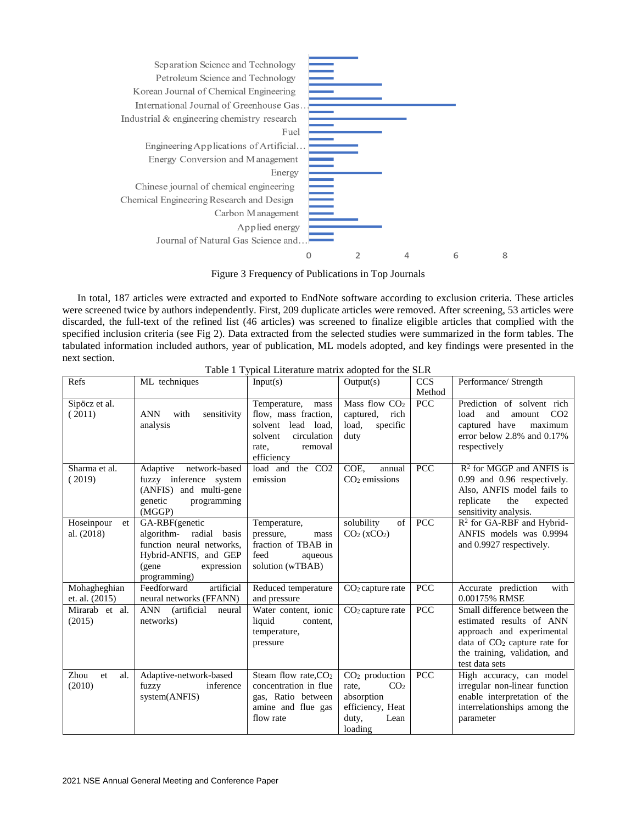

Figure 3 Frequency of Publications in Top Journals

In total, 187 articles were extracted and exported to EndNote software according to exclusion criteria. These articles were screened twice by authors independently. First, 209 duplicate articles were removed. After screening, 53 articles were discarded, the full-text of the refined list (46 articles) was screened to finalize eligible articles that complied with the specified inclusion criteria (see Fig 2). Data extracted from the selected studies were summarized in the form tables. The tabulated information included authors, year of publication, ML models adopted, and key findings were presented in the next section.

| Refs                           | ML techniques                                                                                                                           | Input(s)                                                                                                                          | Output(s)                                                                                                  | <b>CCS</b>           | Performance/ Strength                                                                                                                                                      |
|--------------------------------|-----------------------------------------------------------------------------------------------------------------------------------------|-----------------------------------------------------------------------------------------------------------------------------------|------------------------------------------------------------------------------------------------------------|----------------------|----------------------------------------------------------------------------------------------------------------------------------------------------------------------------|
| Sipöcz et al.<br>(2011)        | <b>ANN</b><br>with<br>sensitivity<br>analysis                                                                                           | Temperature,<br>mass<br>flow, mass fraction,<br>solvent<br>lead load,<br>solvent<br>circulation<br>rate.<br>removal<br>efficiency | Mass flow CO <sub>2</sub><br>captured,<br>rich<br>load.<br>specific<br>duty                                | Method<br><b>PCC</b> | Prediction of solvent rich<br>and<br>CO <sub>2</sub><br>load<br>amount<br>captured have<br>maximum<br>error below 2.8% and 0.17%<br>respectively                           |
| Sharma et al.<br>(2019)        | Adaptive<br>network-based<br>fuzzy inference system<br>(ANFIS) and multi-gene<br>genetic<br>programming<br>(MGGP)                       | load and the CO <sub>2</sub><br>emission                                                                                          | COE,<br>annual<br>$CO2$ emissions                                                                          | <b>PCC</b>           | $R2$ for MGGP and ANFIS is<br>0.99 and 0.96 respectively.<br>Also, ANFIS model fails to<br>the<br>replicate<br>expected<br>sensitivity analysis.                           |
| Hoseinpour<br>et<br>al. (2018) | GA-RBF(genetic<br>algorithm- radial basis<br>function neural networks,<br>Hybrid-ANFIS, and GEP<br>(gene)<br>expression<br>programming) | Temperature,<br>pressure,<br>mass<br>fraction of TBAB in<br>feed<br>aqueous<br>solution (wTBAB)                                   | solubility<br>of<br>$CO2$ (xCO <sub>2</sub> )                                                              | <b>PCC</b>           | $R2$ for GA-RBF and Hybrid-<br>ANFIS models was 0.9994<br>and 0.9927 respectively.                                                                                         |
| Mohagheghian<br>et. al. (2015) | artificial<br>Feedforward<br>neural networks (FFANN)                                                                                    | Reduced temperature<br>and pressure                                                                                               | $CO2$ capture rate                                                                                         | <b>PCC</b>           | with<br>Accurate prediction<br>0.00175% RMSE                                                                                                                               |
| Mirarab et al.<br>(2015)       | ANN (artificial<br>neural<br>networks)                                                                                                  | Water content, ionic<br>liquid<br>content,<br>temperature,<br>pressure                                                            | $CO2$ capture rate                                                                                         | <b>PCC</b>           | Small difference between the<br>estimated results of ANN<br>approach and experimental<br>data of $CO2$ capture rate for<br>the training, validation, and<br>test data sets |
| Zhou<br>et<br>al.<br>(2010)    | Adaptive-network-based<br>fuzzy<br>inference<br>system(ANFIS)                                                                           | Steam flow rate, $CO2$<br>concentration in flue<br>gas, Ratio between<br>amine and flue gas<br>flow rate                          | $CO2$ production<br>rate,<br>CO <sub>2</sub><br>absorption<br>efficiency, Heat<br>duty,<br>Lean<br>loading | <b>PCC</b>           | High accuracy, can model<br>irregular non-linear function<br>enable interpretation of the<br>interrelationships among the<br>parameter                                     |

Table 1 Typical Literature matrix adopted for the SLR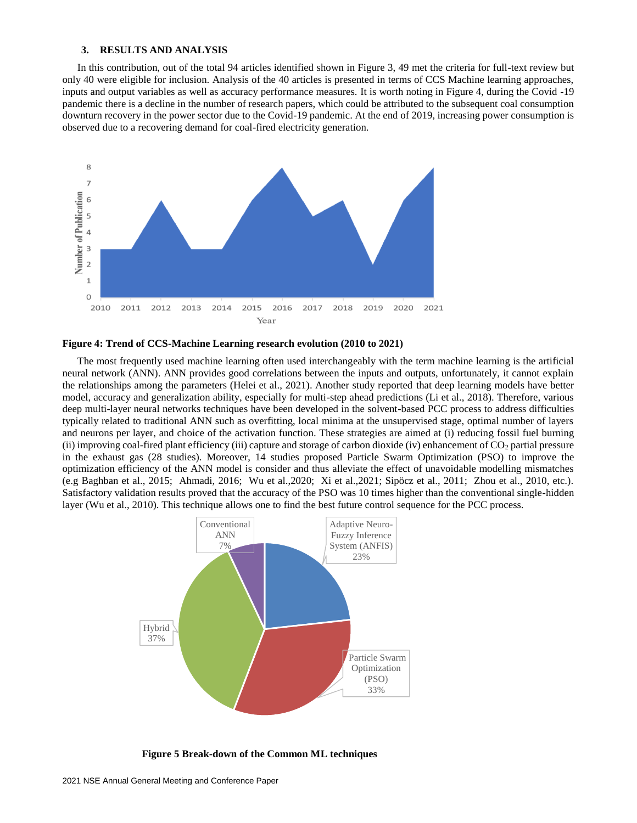#### **3. RESULTS AND ANALYSIS**

In this contribution, out of the total 94 articles identified shown in Figure 3, 49 met the criteria for full-text review but only 40 were eligible for inclusion. Analysis of the 40 articles is presented in terms of CCS Machine learning approaches, inputs and output variables as well as accuracy performance measures. It is worth noting in Figure 4, during the Covid -19 pandemic there is a decline in the number of research papers, which could be attributed to the subsequent coal consumption downturn recovery in the power sector due to the Covid-19 pandemic. At the end of 2019, increasing power consumption is observed due to a recovering demand for coal-fired electricity generation.



#### **Figure 4: Trend of CCS-Machine Learning research evolution (2010 to 2021)**

The most frequently used machine learning often used interchangeably with the term machine learning is the artificial neural network (ANN). ANN provides good correlations between the inputs and outputs, unfortunately, it cannot explain the relationships among the parameters (Helei et al., 2021). Another study reported that deep learning models have better model, accuracy and generalization ability, especially for multi-step ahead predictions (Li et al., 2018). Therefore, various deep multi-layer neural networks techniques have been developed in the solvent-based PCC process to address difficulties typically related to traditional ANN such as overfitting, local minima at the unsupervised stage, optimal number of layers and neurons per layer, and choice of the activation function. These strategies are aimed at (i) reducing fossil fuel burning (ii) improving coal-fired plant efficiency (iii) capture and storage of carbon dioxide (iv) enhancement of  $CO<sub>2</sub>$  partial pressure in the exhaust gas (28 studies). Moreover, 14 studies proposed Particle Swarm Optimization (PSO) to improve the optimization efficiency of the ANN model is consider and thus alleviate the effect of unavoidable modelling mismatches (e.g Baghban et al., 2015; Ahmadi, 2016; Wu et al.,2020; Xi et al.,2021; Sipöcz et al., 2011; Zhou et al., 2010, etc.). Satisfactory validation results proved that the accuracy of the PSO was 10 times higher than the conventional single-hidden layer (Wu et al., 2010). This technique allows one to find the best future control sequence for the PCC process.



**Figure 5 Break-down of the Common ML techniques**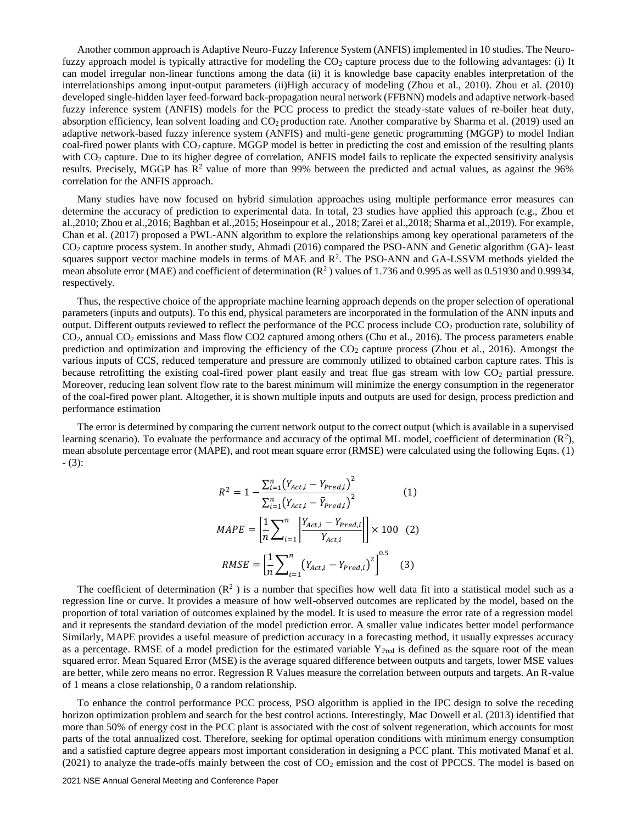Another common approach is Adaptive Neuro-Fuzzy Inference System (ANFIS) implemented in 10 studies. The Neurofuzzy approach model is typically attractive for modeling the  $CO<sub>2</sub>$  capture process due to the following advantages: (i) It can model irregular non-linear functions among the data (ii) it is knowledge base capacity enables interpretation of the interrelationships among input-output parameters (ii)High accuracy of modeling (Zhou et al., 2010). Zhou et al. (2010) developed single-hidden layer feed-forward back-propagation neural network (FFBNN) models and adaptive network-based fuzzy inference system (ANFIS) models for the PCC process to predict the steady-state values of re-boiler heat duty, absorption efficiency, lean solvent loading and  $CO<sub>2</sub>$  production rate. Another comparative by Sharma et al. (2019) used an adaptive network-based fuzzy inference system (ANFIS) and multi-gene genetic programming (MGGP) to model Indian coal-fired power plants with CO<sub>2</sub> capture. MGGP model is better in predicting the cost and emission of the resulting plants with CO<sub>2</sub> capture. Due to its higher degree of correlation, ANFIS model fails to replicate the expected sensitivity analysis results. Precisely, MGGP has  $R^2$  value of more than 99% between the predicted and actual values, as against the 96% correlation for the ANFIS approach.

Many studies have now focused on hybrid simulation approaches using multiple performance error measures can determine the accuracy of prediction to experimental data. In total, 23 studies have applied this approach (e.g., Zhou et al.,2010; Zhou et al.,2016; Baghban et al.,2015; Hoseinpour et al., 2018; Zarei et al.,2018; Sharma et al.,2019). For example, Chan et al. (2017) proposed a PWL-ANN algorithm to explore the relationships among key operational parameters of the CO<sup>2</sup> capture process system. In another study, Ahmadi (2016) compared the PSO-ANN and Genetic algorithm (GA)- least squares support vector machine models in terms of MAE and  $R^2$ . The PSO-ANN and GA-LSSVM methods yielded the mean absolute error (MAE) and coefficient of determination  $(R^2)$  values of 1.736 and 0.995 as well as 0.51930 and 0.99934, respectively.

Thus, the respective choice of the appropriate machine learning approach depends on the proper selection of operational parameters (inputs and outputs). To this end, physical parameters are incorporated in the formulation of the ANN inputs and output. Different outputs reviewed to reflect the performance of the PCC process include CO<sup>2</sup> production rate, solubility of CO2, annual CO<sup>2</sup> emissions and Mass flow CO2 captured among others (Chu et al., 2016). The process parameters enable prediction and optimization and improving the efficiency of the  $CO<sub>2</sub>$  capture process (Zhou et al., 2016). Amongst the various inputs of CCS, reduced temperature and pressure are commonly utilized to obtained carbon capture rates. This is because retrofitting the existing coal-fired power plant easily and treat flue gas stream with low CO<sub>2</sub> partial pressure. Moreover, reducing lean solvent flow rate to the barest minimum will minimize the energy consumption in the regenerator of the coal-fired power plant. Altogether, it is shown multiple inputs and outputs are used for design, process prediction and performance estimation

The error is determined by comparing the current network output to the correct output (which is available in a supervised learning scenario). To evaluate the performance and accuracy of the optimal ML model, coefficient of determination  $(R^2)$ , mean absolute percentage error (MAPE), and root mean square error (RMSE) were calculated using the following Eqns. (1) - (3):

$$
R^{2} = 1 - \frac{\sum_{i=1}^{n} (Y_{Act,i} - Y_{Pred,i})^{2}}{\sum_{i=1}^{n} (Y_{Act,i} - \bar{Y}_{Pred,i})^{2}} \qquad (1)
$$
  

$$
MAPE = \left[\frac{1}{n} \sum_{i=1}^{n} \left| \frac{Y_{Act,i} - Y_{Pred,i}}{Y_{Act,i}} \right| \right] \times 100 \quad (2)
$$
  

$$
RMSE = \left[\frac{1}{n} \sum_{i=1}^{n} (Y_{Act,i} - Y_{Pred,i})^{2} \right]^{0.5} \quad (3)
$$

The coefficient of determination  $(R^2)$  is a number that specifies how well data fit into a statistical model such as a regression line or curve. It provides a measure of how well-observed outcomes are replicated by the model, based on the proportion of total variation of outcomes explained by the model. It is used to measure the error rate of a regression model and it represents the standard deviation of the model prediction error. A smaller value indicates better model performance Similarly, MAPE provides a useful measure of prediction accuracy in a forecasting method, it usually expresses accuracy as a percentage. RMSE of a model prediction for the estimated variable  $Y_{Pred}$  is defined as the square root of the mean squared error. Mean Squared Error (MSE) is the average squared difference between outputs and targets, lower MSE values are better, while zero means no error. Regression R Values measure the correlation between outputs and targets. An R-value of 1 means a close relationship, 0 a random relationship.

To enhance the control performance PCC process, PSO algorithm is applied in the IPC design to solve the receding horizon optimization problem and search for the best control actions. Interestingly, Mac Dowell et al. (2013) identified that more than 50% of energy cost in the PCC plant is associated with the cost of solvent regeneration, which accounts for most parts of the total annualized cost. Therefore, seeking for optimal operation conditions with minimum energy consumption and a satisfied capture degree appears most important consideration in designing a PCC plant. This motivated Manaf et al.  $(2021)$  to analyze the trade-offs mainly between the cost of  $CO<sub>2</sub>$  emission and the cost of PPCCS. The model is based on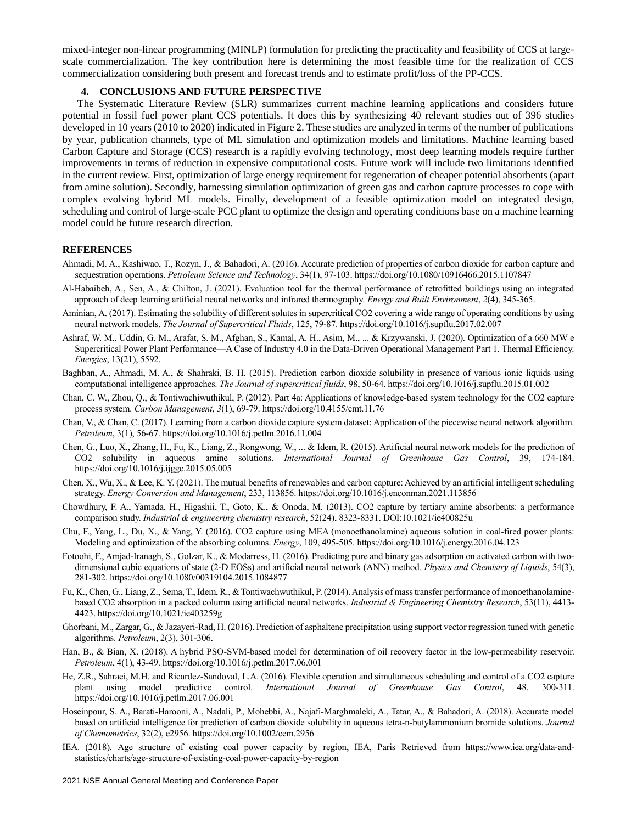mixed-integer non-linear programming (MINLP) formulation for predicting the practicality and feasibility of CCS at largescale commercialization. The key contribution here is determining the most feasible time for the realization of CCS commercialization considering both present and forecast trends and to estimate profit/loss of the PP-CCS.

#### **4. CONCLUSIONS AND FUTURE PERSPECTIVE**

The Systematic Literature Review (SLR) summarizes current machine learning applications and considers future potential in fossil fuel power plant CCS potentials. It does this by synthesizing 40 relevant studies out of 396 studies developed in 10 years (2010 to 2020) indicated in Figure 2. These studies are analyzed in terms of the number of publications by year, publication channels, type of ML simulation and optimization models and limitations. Machine learning based Carbon Capture and Storage (CCS) research is a rapidly evolving technology, most deep learning models require further improvements in terms of reduction in expensive computational costs. Future work will include two limitations identified in the current review. First, optimization of large energy requirement for regeneration of cheaper potential absorbents (apart from amine solution). Secondly, harnessing simulation optimization of green gas and carbon capture processes to cope with complex evolving hybrid ML models. Finally, development of a feasible optimization model on integrated design, scheduling and control of large-scale PCC plant to optimize the design and operating conditions base on a machine learning model could be future research direction.

#### **REFERENCES**

- Ahmadi, M. A., Kashiwao, T., Rozyn, J., & Bahadori, A. (2016). Accurate prediction of properties of carbon dioxide for carbon capture and sequestration operations. *Petroleum Science and Technology*, 34(1), 97-103. https://doi.org/10.1080/10916466.2015.1107847
- Al-Habaibeh, A., Sen, A., & Chilton, J. (2021). Evaluation tool for the thermal performance of retrofitted buildings using an integrated approach of deep learning artificial neural networks and infrared thermography. *Energy and Built Environment*, *2*(4), 345-365.
- Aminian, A. (2017). Estimating the solubility of different solutes in supercritical CO2 covering a wide range of operating conditions by using neural network models. *The Journal of Supercritical Fluids*, 125, 79-87. https://doi.org/10.1016/j.supflu.2017.02.007
- Ashraf, W. M., Uddin, G. M., Arafat, S. M., Afghan, S., Kamal, A. H., Asim, M., ... & Krzywanski, J. (2020). Optimization of a 660 MW e Supercritical Power Plant Performance—A Case of Industry 4.0 in the Data-Driven Operational Management Part 1. Thermal Efficiency. *Energies*, 13(21), 5592.
- Baghban, A., Ahmadi, M. A., & Shahraki, B. H. (2015). Prediction carbon dioxide solubility in presence of various ionic liquids using computational intelligence approaches. *The Journal of supercritical fluids*, 98, 50-64. https://doi.org/10.1016/j.supflu.2015.01.002
- Chan, C. W., Zhou, Q., & Tontiwachiwuthikul, P. (2012). Part 4a: Applications of knowledge-based system technology for the CO2 capture process system. *Carbon Management*, *3*(1), 69-79. https://doi.org/10.4155/cmt.11.76
- Chan, V., & Chan, C. (2017). Learning from a carbon dioxide capture system dataset: Application of the piecewise neural network algorithm. *Petroleum*, 3(1), 56-67. https://doi.org/10.1016/j.petlm.2016.11.004
- Chen, G., Luo, X., Zhang, H., Fu, K., Liang, Z., Rongwong, W., ... & Idem, R. (2015). Artificial neural network models for the prediction of CO2 solubility in aqueous amine solutions. *International Journal of Greenhouse Gas Control*, 39, 174-184. https://doi.org/10.1016/j.ijggc.2015.05.005
- Chen, X., Wu, X., & Lee, K. Y. (2021). The mutual benefits of renewables and carbon capture: Achieved by an artificial intelligent scheduling strategy. *Energy Conversion and Management*, 233, 113856. https://doi.org/10.1016/j.enconman.2021.113856
- Chowdhury, F. A., Yamada, H., Higashii, T., Goto, K., & Onoda, M. (2013). CO2 capture by tertiary amine absorbents: a performance comparison study. *Industrial & engineering chemistry research*, 52(24), 8323-8331. DOI:10.1021/ie400825u
- Chu, F., Yang, L., Du, X., & Yang, Y. (2016). CO2 capture using MEA (monoethanolamine) aqueous solution in coal-fired power plants: Modeling and optimization of the absorbing columns. *Energy*, 109, 495-505. https://doi.org/10.1016/j.energy.2016.04.123
- Fotoohi, F., Amjad-Iranagh, S., Golzar, K., & Modarress, H. (2016). Predicting pure and binary gas adsorption on activated carbon with twodimensional cubic equations of state (2-D EOSs) and artificial neural network (ANN) method*. Physics and Chemistry of Liquids*, 54(3), 281-302. https://doi.org/10.1080/00319104.2015.1084877
- Fu, K., Chen, G., Liang, Z., Sema, T., Idem, R., & Tontiwachwuthikul, P. (2014). Analysis of mass transfer performance of monoethanolaminebased CO2 absorption in a packed column using artificial neural networks. *Industrial & Engineering Chemistry Research*, 53(11), 4413- 4423. https://doi.org/10.1021/ie403259g
- Ghorbani, M., Zargar, G., & Jazayeri-Rad, H. (2016). Prediction of asphaltene precipitation using support vector regression tuned with genetic algorithms. *Petroleum*, 2(3), 301-306.
- Han, B., & Bian, X. (2018). A hybrid PSO-SVM-based model for determination of oil recovery factor in the low-permeability reservoir. *Petroleum*, 4(1), 43-49. https://doi.org/10.1016/j.petlm.2017.06.001
- He, Z.R., Sahraei, M.H. and Ricardez-Sandoval, L.A. (2016). Flexible operation and simultaneous scheduling and control of a CO2 capture plant using model predictive control. *International Journal of Greenhouse Gas Control*, 48. 300-311. https://doi.org/10.1016/j.petlm.2017.06.001
- Hoseinpour, S. A., Barati‐Harooni, A., Nadali, P., Mohebbi, A., Najafi‐Marghmaleki, A., Tatar, A., & Bahadori, A. (2018). Accurate model based on artificial intelligence for prediction of carbon dioxide solubility in aqueous tetra‐n‐butylammonium bromide solutions. *Journal of Chemometrics*, 32(2), e2956. https://doi.org/10.1002/cem.2956
- IEA. (2018). Age structure of existing coal power capacity by region, IEA, Paris Retrieved from https://www.iea.org/data-andstatistics/charts/age-structure-of-existing-coal-power-capacity-by-region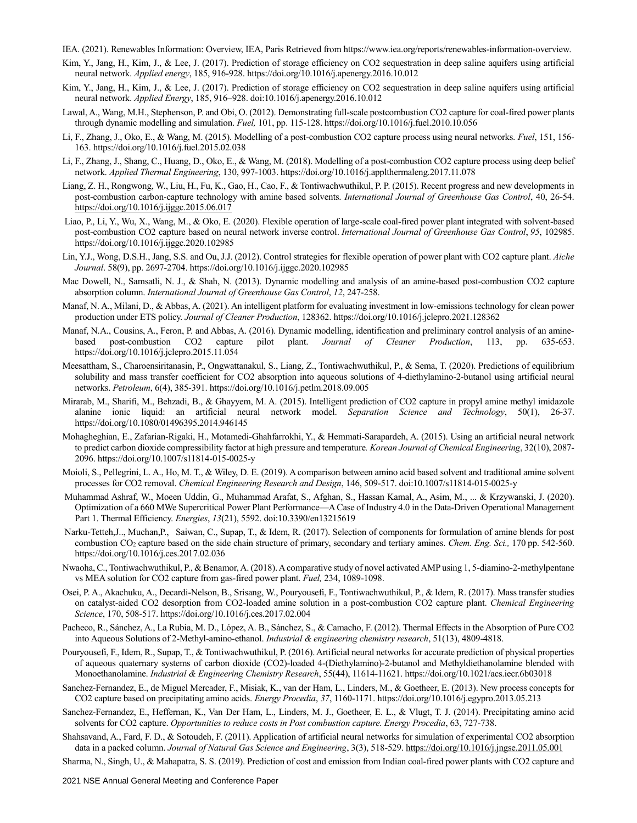IEA. (2021). Renewables Information: Overview, IEA, Paris Retrieved from https://www.iea.org/reports/renewables-information-overview.

- Kim, Y., Jang, H., Kim, J., & Lee, J. (2017). Prediction of storage efficiency on CO2 sequestration in deep saline aquifers using artificial neural network. *Applied energy*, 185, 916-928. https://doi.org/10.1016/j.apenergy.2016.10.012
- Kim, Y., Jang, H., Kim, J., & Lee, J. (2017). Prediction of storage efficiency on CO2 sequestration in deep saline aquifers using artificial neural network. *Applied Energy*, 185, 916–928. doi:10.1016/j.apenergy.2016.10.012
- Lawal, A., Wang, M.H., Stephenson, P. and Obi, O. (2012). Demonstrating full-scale postcombustion CO2 capture for coal-fired power plants through dynamic modelling and simulation. *Fuel,* 101, pp. 115-128. https://doi.org/10.1016/j.fuel.2010.10.056
- Li, F., Zhang, J., Oko, E., & Wang, M. (2015). Modelling of a post-combustion CO2 capture process using neural networks. *Fuel*, 151, 156- 163. https://doi.org/10.1016/j.fuel.2015.02.038
- Li, F., Zhang, J., Shang, C., Huang, D., Oko, E., & Wang, M. (2018). Modelling of a post-combustion CO2 capture process using deep belief network. *Applied Thermal Engineering*, 130, 997-1003. https://doi.org/10.1016/j.applthermaleng.2017.11.078
- Liang, Z. H., Rongwong, W., Liu, H., Fu, K., Gao, H., Cao, F., & Tontiwachwuthikul, P. P. (2015). Recent progress and new developments in post-combustion carbon-capture technology with amine based solvents. *International Journal of Greenhouse Gas Control*, 40, 26-54. <https://doi.org/10.1016/j.ijggc.2015.06.017>
- Liao, P., Li, Y., Wu, X., Wang, M., & Oko, E. (2020). Flexible operation of large-scale coal-fired power plant integrated with solvent-based post-combustion CO2 capture based on neural network inverse control. *International Journal of Greenhouse Gas Control*, *95*, 102985. https://doi.org/10.1016/j.ijggc.2020.102985
- Lin, Y.J., Wong, D.S.H., Jang, S.S. and Ou, J.J. (2012). Control strategies for flexible operation of power plant with CO2 capture plant. *Aiche Journal*. 58(9), pp. 2697-2704. https://doi.org/10.1016/j.ijggc.2020.102985
- Mac Dowell, N., Samsatli, N. J., & Shah, N. (2013). Dynamic modelling and analysis of an amine-based post-combustion CO2 capture absorption column. *International Journal of Greenhouse Gas Control*, *12*, 247-258.
- Manaf, N. A., Milani, D., & Abbas, A. (2021). An intelligent platform for evaluating investment in low-emissions technology for clean power production under ETS policy. *Journal of Cleaner Production*, 128362. https://doi.org/10.1016/j.jclepro.2021.128362
- Manaf, N.A., Cousins, A., Feron, P. and Abbas, A. (2016). Dynamic modelling, identification and preliminary control analysis of an aminebased post-combustion CO2 capture pilot plant. *Journal of Cleaner Production*, 113, pp. 635-653. https://doi.org/10.1016/j.jclepro.2015.11.054
- Meesattham, S., Charoensiritanasin, P., Ongwattanakul, S., Liang, Z., Tontiwachwuthikul, P., & Sema, T. (2020). Predictions of equilibrium solubility and mass transfer coefficient for CO2 absorption into aqueous solutions of 4-diethylamino-2-butanol using artificial neural networks. *Petroleum*, 6(4), 385-391. https://doi.org/10.1016/j.petlm.2018.09.005
- Mirarab, M., Sharifi, M., Behzadi, B., & Ghayyem, M. A. (2015). Intelligent prediction of CO2 capture in propyl amine methyl imidazole alanine ionic liquid: an artificial neural network model. *Separation Science and Technology*, 50(1), 26-37. https://doi.org/10.1080/01496395.2014.946145
- Mohagheghian, E., Zafarian-Rigaki, H., Motamedi-Ghahfarrokhi, Y., & Hemmati-Sarapardeh, A. (2015). Using an artificial neural network to predict carbon dioxide compressibility factor at high pressure and temperature*. Korean Journal of Chemical Engineering*, 32(10), 2087- 2096. https://doi.org/10.1007/s11814-015-0025-y
- Moioli, S., Pellegrini, L. A., Ho, M. T., & Wiley, D. E. (2019). A comparison between amino acid based solvent and traditional amine solvent processes for CO2 removal. *Chemical Engineering Research and Design*, 146, 509-517. doi:10.1007/s11814-015-0025-y
- Muhammad Ashraf, W., Moeen Uddin, G., Muhammad Arafat, S., Afghan, S., Hassan Kamal, A., Asim, M., ... & Krzywanski, J. (2020). Optimization of a 660 MWe Supercritical Power Plant Performance—A Case of Industry 4.0 in the Data-Driven Operational Management Part 1. Thermal Efficiency. *Energies*, *13*(21), 5592. doi:10.3390/en13215619
- Narku-Tetteh,J.., Muchan,P., Saiwan, C., Supap, T., & Idem, R. (2017). Selection of components for formulation of amine blends for post combustion CO<sup>2</sup> capture based on the side chain structure of primary, secondary and tertiary amines. *Chem. Eng. Sci.,* 170 pp. 542-560. https://doi.org/10.1016/j.ces.2017.02.036
- Nwaoha, C., Tontiwachwuthikul, P., & Benamor, A. (2018). A comparative study of novel activated AMP using 1, 5-diamino-2-methylpentane vs MEA solution for CO2 capture from gas-fired power plant. *Fuel,* 234, 1089-1098.
- Osei, P. A., Akachuku, A., Decardi-Nelson, B., Srisang, W., Pouryousefi, F., Tontiwachwuthikul, P., & Idem, R. (2017). Mass transfer studies on catalyst-aided CO2 desorption from CO2-loaded amine solution in a post-combustion CO2 capture plant. *Chemical Engineering Science*, 170, 508-517. https://doi.org/10.1016/j.ces.2017.02.004
- Pacheco, R., Sánchez, A., La Rubia, M. D., López, A. B., Sánchez, S., & Camacho, F. (2012). Thermal Effects in the Absorption of Pure CO2 into Aqueous Solutions of 2-Methyl-amino-ethanol. *Industrial & engineering chemistry research*, 51(13), 4809-4818.
- Pouryousefi, F., Idem, R., Supap, T., & Tontiwachwuthikul, P. (2016). Artificial neural networks for accurate prediction of physical properties of aqueous quaternary systems of carbon dioxide (CO2)-loaded 4-(Diethylamino)-2-butanol and Methyldiethanolamine blended with Monoethanolamine. *Industrial & Engineering Chemistry Research*, 55(44), 11614-11621. https://doi.org/10.1021/acs.iecr.6b03018
- Sanchez-Fernandez, E., de Miguel Mercader, F., Misiak, K., van der Ham, L., Linders, M., & Goetheer, E. (2013). New process concepts for CO2 capture based on precipitating amino acids. *Energy Procedia*, *37*, 1160-1171. https://doi.org/10.1016/j.egypro.2013.05.213
- Sanchez-Fernandez, E., Heffernan, K., Van Der Ham, L., Linders, M. J., Goetheer, E. L., & Vlugt, T. J. (2014). Precipitating amino acid solvents for CO2 capture. *Opportunities to reduce costs in Post combustion capture. Energy Procedia*, 63, 727-738.
- Shahsavand, A., Fard, F. D., & Sotoudeh, F. (2011). Application of artificial neural networks for simulation of experimental CO2 absorption data in a packed column. *Journal of Natural Gas Science and Engineering*, 3(3), 518-529[. https://doi.org/10.1016/j.jngse.2011.05.001](https://doi.org/10.1016/j.jngse.2011.05.001)
- Sharma, N., Singh, U., & Mahapatra, S. S. (2019). Prediction of cost and emission from Indian coal-fired power plants with CO2 capture and